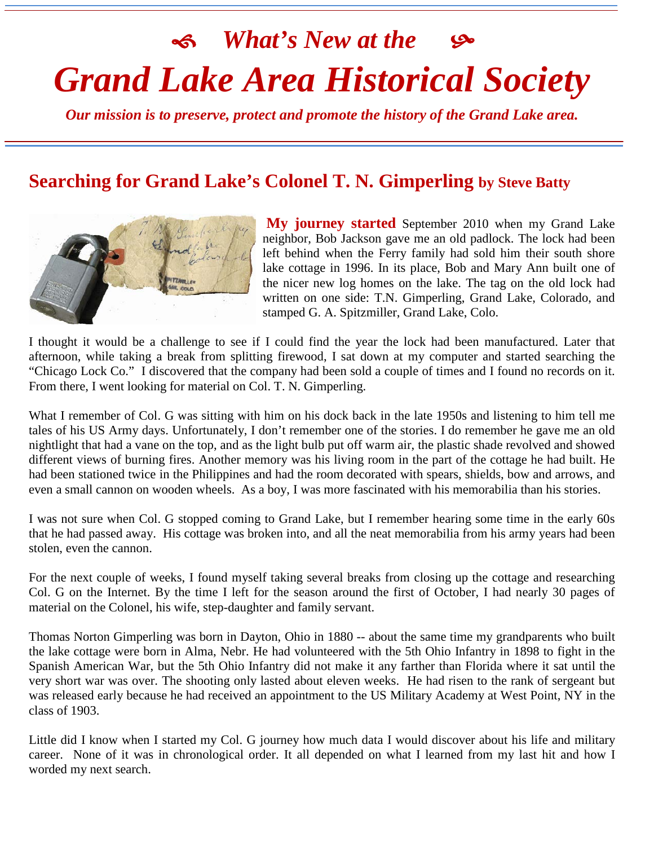# *What's New at the Grand Lake Area Historical Society*  $\frac{1}{2}$  *Our mission is to preserve, protect and promote the history of the Grand Lake area.*

#### **Searching for Grand Lake's Colonel T. N. Gimperling by Steve Batty**



**My journey started** September 2010 when my Grand Lake neighbor, Bob Jackson gave me an old padlock. The lock had been left behind when the Ferry family had sold him their south shore lake cottage in 1996. In its place, Bob and Mary Ann built one of the nicer new log homes on the lake. The tag on the old lock had written on one side: T.N. Gimperling, Grand Lake, Colorado, and stamped G. A. Spitzmiller, Grand Lake, Colo.

I thought it would be a challenge to see if I could find the year the lock had been manufactured. Later that afternoon, while taking a break from splitting firewood, I sat down at my computer and started searching the "Chicago Lock Co." I discovered that the company had been sold a couple of times and I found no records on it. From there, I went looking for material on Col. T. N. Gimperling.

What I remember of Col. G was sitting with him on his dock back in the late 1950s and listening to him tell me tales of his US Army days. Unfortunately, I don't remember one of the stories. I do remember he gave me an old nightlight that had a vane on the top, and as the light bulb put off warm air, the plastic shade revolved and showed different views of burning fires. Another memory was his living room in the part of the cottage he had built. He had been stationed twice in the Philippines and had the room decorated with spears, shields, bow and arrows, and even a small cannon on wooden wheels. As a boy, I was more fascinated with his memorabilia than his stories.

I was not sure when Col. G stopped coming to Grand Lake, but I remember hearing some time in the early 60s that he had passed away. His cottage was broken into, and all the neat memorabilia from his army years had been stolen, even the cannon.

For the next couple of weeks, I found myself taking several breaks from closing up the cottage and researching Col. G on the Internet. By the time I left for the season around the first of October, I had nearly 30 pages of material on the Colonel, his wife, step-daughter and family servant.

Thomas Norton Gimperling was born in Dayton, Ohio in 1880 -- about the same time my grandparents who built the lake cottage were born in Alma, Nebr. He had volunteered with the 5th Ohio Infantry in 1898 to fight in the Spanish American War, but the 5th Ohio Infantry did not make it any farther than Florida where it sat until the very short war was over. The shooting only lasted about eleven weeks. He had risen to the rank of sergeant but was released early because he had received an appointment to the US Military Academy at West Point, NY in the class of 1903.

Little did I know when I started my Col. G journey how much data I would discover about his life and military career. None of it was in chronological order. It all depended on what I learned from my last hit and how I worded my next search.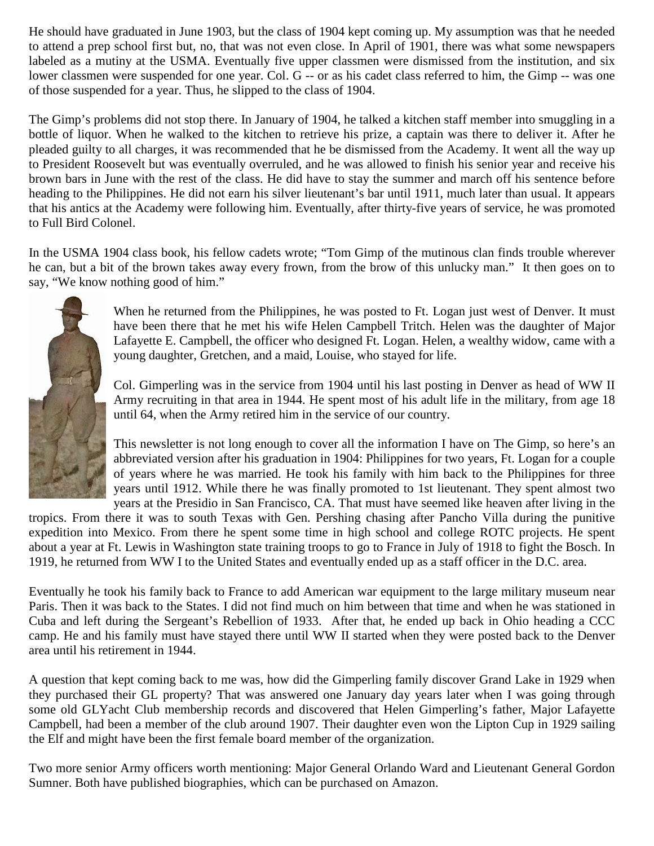He should have graduated in June 1903, but the class of 1904 kept coming up. My assumption was that he needed to attend a prep school first but, no, that was not even close. In April of 1901, there was what some newspapers labeled as a mutiny at the USMA. Eventually five upper classmen were dismissed from the institution, and six lower classmen were suspended for one year. Col. G -- or as his cadet class referred to him, the Gimp -- was one of those suspended for a year. Thus, he slipped to the class of 1904.

The Gimp's problems did not stop there. In January of 1904, he talked a kitchen staff member into smuggling in a bottle of liquor. When he walked to the kitchen to retrieve his prize, a captain was there to deliver it. After he pleaded guilty to all charges, it was recommended that he be dismissed from the Academy. It went all the way up to President Roosevelt but was eventually overruled, and he was allowed to finish his senior year and receive his brown bars in June with the rest of the class. He did have to stay the summer and march off his sentence before heading to the Philippines. He did not earn his silver lieutenant's bar until 1911, much later than usual. It appears that his antics at the Academy were following him. Eventually, after thirty-five years of service, he was promoted to Full Bird Colonel.

In the USMA 1904 class book, his fellow cadets wrote; "Tom Gimp of the mutinous clan finds trouble wherever he can, but a bit of the brown takes away every frown, from the brow of this unlucky man." It then goes on to say, "We know nothing good of him."



When he returned from the Philippines, he was posted to Ft. Logan just west of Denver. It must have been there that he met his wife Helen Campbell Tritch. Helen was the daughter of Major Lafayette E. Campbell, the officer who designed Ft. Logan. Helen, a wealthy widow, came with a young daughter, Gretchen, and a maid, Louise, who stayed for life.

Col. Gimperling was in the service from 1904 until his last posting in Denver as head of WW II Army recruiting in that area in 1944. He spent most of his adult life in the military, from age 18 until 64, when the Army retired him in the service of our country.

This newsletter is not long enough to cover all the information I have on The Gimp, so here's an abbreviated version after his graduation in 1904: Philippines for two years, Ft. Logan for a couple of years where he was married. He took his family with him back to the Philippines for three years until 1912. While there he was finally promoted to 1st lieutenant. They spent almost two years at the Presidio in San Francisco, CA. That must have seemed like heaven after living in the

tropics. From there it was to south Texas with Gen. Pershing chasing after Pancho Villa during the punitive expedition into Mexico. From there he spent some time in high school and college ROTC projects. He spent about a year at Ft. Lewis in Washington state training troops to go to France in July of 1918 to fight the Bosch. In 1919, he returned from WW I to the United States and eventually ended up as a staff officer in the D.C. area.

Eventually he took his family back to France to add American war equipment to the large military museum near Paris. Then it was back to the States. I did not find much on him between that time and when he was stationed in Cuba and left during the Sergeant's Rebellion of 1933. After that, he ended up back in Ohio heading a CCC camp. He and his family must have stayed there until WW II started when they were posted back to the Denver area until his retirement in 1944.

A question that kept coming back to me was, how did the Gimperling family discover Grand Lake in 1929 when they purchased their GL property? That was answered one January day years later when I was going through some old GLYacht Club membership records and discovered that Helen Gimperling's father, Major Lafayette Campbell, had been a member of the club around 1907. Their daughter even won the Lipton Cup in 1929 sailing the Elf and might have been the first female board member of the organization.

Two more senior Army officers worth mentioning: Major General Orlando Ward and Lieutenant General Gordon Sumner. Both have published biographies, which can be purchased on Amazon.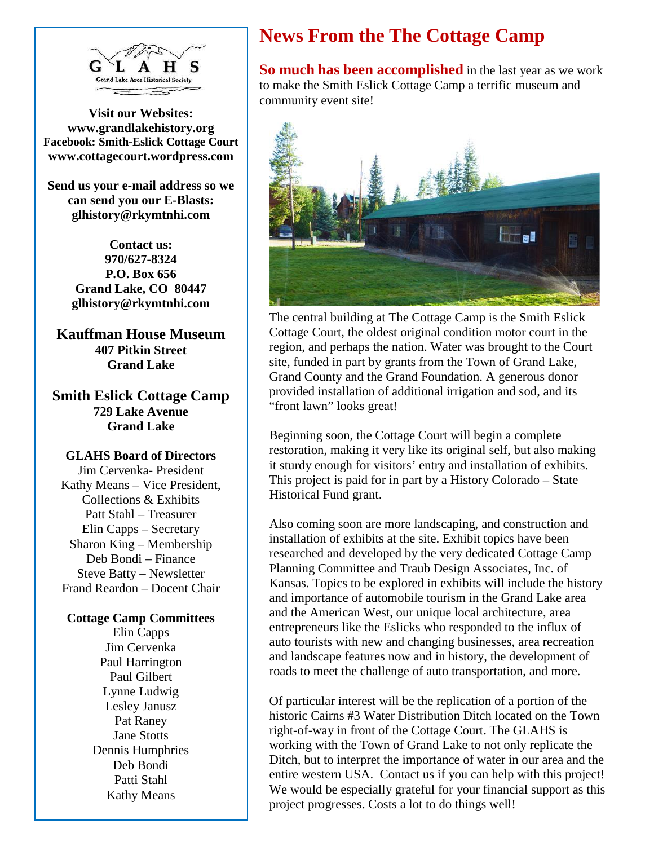

**Visit our Websites: [www.grandlakehistory.org](http://www.grandlakehistory.org/) Facebook: Smith-Eslick Cottage Court [www.cottagecourt.wordpress.com](http://www.cottagecourt.wordpress.com/)**

**Send us your e-mail address so we can send you our E-Blasts: [glhistory@rkymtnhi.com](mailto:glhistory@rkymtnhi.com)**

> **Contact us: 970/627-8324 P.O. Box 656 Grand Lake, CO 80447 [glhistory@rkymtnhi.com](mailto:glhistory@rkymtnhi.com)**

**Kauffman House Museum 407 Pitkin Street Grand Lake**

**Smith Eslick Cottage Camp 729 Lake Avenue Grand Lake**

#### **GLAHS Board of Directors**

Jim Cervenka- President Kathy Means – Vice President, Collections & Exhibits Patt Stahl – Treasurer Elin Capps – Secretary Sharon King – Membership Deb Bondi – Finance Steve Batty – Newsletter Frand Reardon – Docent Chair

#### **Cottage Camp Committees**

Elin Capps Jim Cervenka Paul Harrington Paul Gilbert Lynne Ludwig Lesley Janusz Pat Raney Jane Stotts Dennis Humphries Deb Bondi Patti Stahl Kathy Means

# **News From the The Cottage Camp**

**So much has been accomplished** in the last year as we work to make the Smith Eslick Cottage Camp a terrific museum and community event site!



The central building at The Cottage Camp is the Smith Eslick Cottage Court, the oldest original condition motor court in the region, and perhaps the nation. Water was brought to the Court site, funded in part by grants from the Town of Grand Lake, Grand County and the Grand Foundation. A generous donor provided installation of additional irrigation and sod, and its "front lawn" looks great!

Beginning soon, the Cottage Court will begin a complete restoration, making it very like its original self, but also making it sturdy enough for visitors' entry and installation of exhibits. This project is paid for in part by a History Colorado – State Historical Fund grant.

Also coming soon are more landscaping, and construction and installation of exhibits at the site. Exhibit topics have been researched and developed by the very dedicated Cottage Camp Planning Committee and Traub Design Associates, Inc. of Kansas. Topics to be explored in exhibits will include the history and importance of automobile tourism in the Grand Lake area and the American West, our unique local architecture, area entrepreneurs like the Eslicks who responded to the influx of auto tourists with new and changing businesses, area recreation and landscape features now and in history, the development of roads to meet the challenge of auto transportation, and more.

Of particular interest will be the replication of a portion of the historic Cairns #3 Water Distribution Ditch located on the Town right-of-way in front of the Cottage Court. The GLAHS is working with the Town of Grand Lake to not only replicate the Ditch, but to interpret the importance of water in our area and the entire western USA. Contact us if you can help with this project! We would be especially grateful for your financial support as this project progresses. Costs a lot to do things well!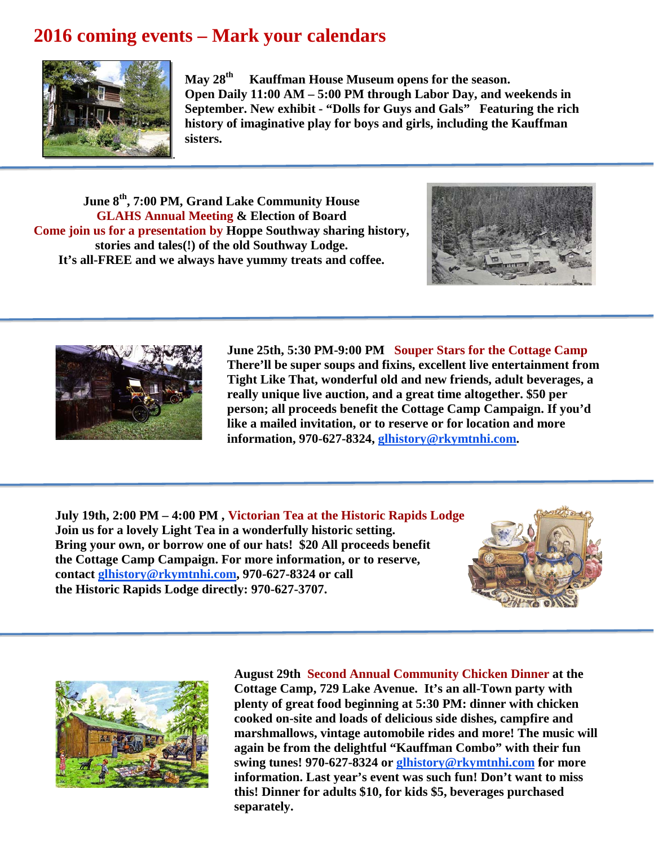### **2016 coming events – Mark your calendars**



**May 28th Kauffman House Museum opens for the season. Open Daily 11:00 AM – 5:00 PM through Labor Day, and weekends in September. New exhibit - "Dolls for Guys and Gals" Featuring the rich history of imaginative play for boys and girls, including the Kauffman sisters.**

**June 8th, 7:00 PM, Grand Lake Community House GLAHS Annual Meeting & Election of Board Come join us for a presentation by Hoppe Southway sharing history, stories and tales(!) of the old Southway Lodge. It's all-FREE and we always have yummy treats and coffee.** 





**June 25th, 5:30 PM-9:00 PM Souper Stars for the Cottage Camp There'll be super soups and fixins, excellent live entertainment from Tight Like That, wonderful old and new friends, adult beverages, a really unique live auction, and a great time altogether. \$50 per person; all proceeds benefit the Cottage Camp Campaign. If you'd like a mailed invitation, or to reserve or for location and more information, 970-627-8324, [glhistory@rkymtnhi.com.](mailto:glhistory@rkymtnhi.com)**

**July 19th, 2:00 PM – 4:00 PM , Victorian Tea at the Historic Rapids Lodge Join us for a lovely Light Tea in a wonderfully historic setting. Bring your own, or borrow one of our hats! \$20 All proceeds benefit the Cottage Camp Campaign. For more information, or to reserve, contact [glhistory@rkymtnhi.com,](mailto:glhistory@rkymtnhi.com) 970-627-8324 or call the Historic Rapids Lodge directly: 970-627-3707.**





**August 29th Second Annual Community Chicken Dinner at the Cottage Camp, 729 Lake Avenue. It's an all-Town party with plenty of great food beginning at 5:30 PM: dinner with chicken cooked on-site and loads of delicious side dishes, campfire and marshmallows, vintage automobile rides and more! The music will again be from the delightful "Kauffman Combo" with their fun swing tunes! 970-627-8324 or [glhistory@rkymtnhi.com](mailto:glhistory@rkymtnhi.com) for more information. Last year's event was such fun! Don't want to miss this! Dinner for adults \$10, for kids \$5, beverages purchased separately.**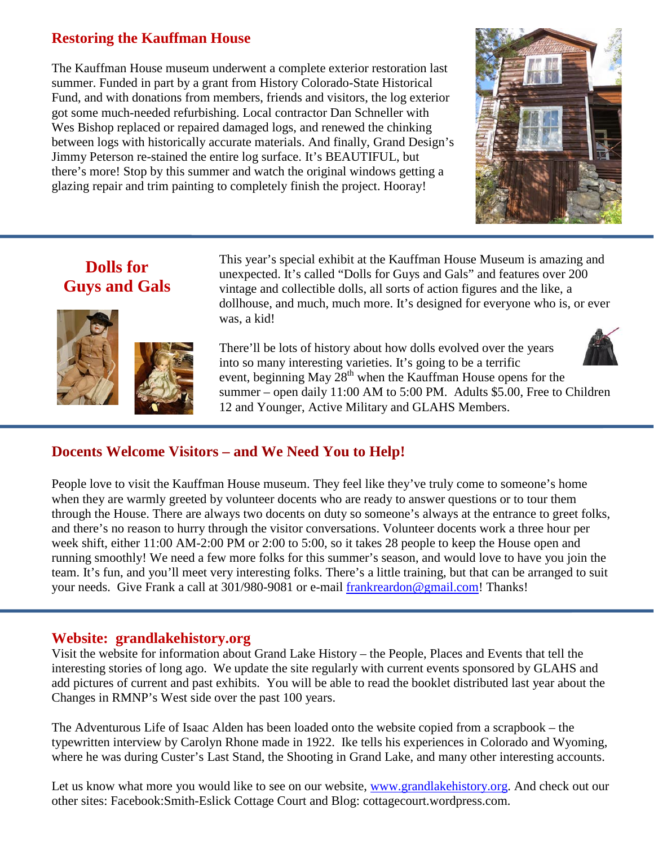#### **Restoring the Kauffman House**

The Kauffman House museum underwent a complete exterior restoration last summer. Funded in part by a grant from History Colorado-State Historical Fund, and with donations from members, friends and visitors, the log exterior got some much-needed refurbishing. Local contractor Dan Schneller with Wes Bishop replaced or repaired damaged logs, and renewed the chinking between logs with historically accurate materials. And finally, Grand Design's Jimmy Peterson re-stained the entire log surface. It's BEAUTIFUL, but there's more! Stop by this summer and watch the original windows getting a glazing repair and trim painting to completely finish the project. Hooray!



#### **Dolls for Guys and Gals**



This year's special exhibit at the Kauffman House Museum is amazing and unexpected. It's called "Dolls for Guys and Gals" and features over 200 vintage and collectible dolls, all sorts of action figures and the like, a dollhouse, and much, much more. It's designed for everyone who is, or ever was, a kid!

There'll be lots of history about how dolls evolved over the years into so many interesting varieties. It's going to be a terrific event, beginning May  $28<sup>th</sup>$  when the Kauffman House opens for the summer – open daily 11:00 AM to 5:00 PM. Adults \$5.00, Free to Children 12 and Younger, Active Military and GLAHS Members.

#### **Docents Welcome Visitors – and We Need You to Help!**

People love to visit the Kauffman House museum. They feel like they've truly come to someone's home when they are warmly greeted by volunteer docents who are ready to answer questions or to tour them through the House. There are always two docents on duty so someone's always at the entrance to greet folks, and there's no reason to hurry through the visitor conversations. Volunteer docents work a three hour per week shift, either 11:00 AM-2:00 PM or 2:00 to 5:00, so it takes 28 people to keep the House open and running smoothly! We need a few more folks for this summer's season, and would love to have you join the team. It's fun, and you'll meet very interesting folks. There's a little training, but that can be arranged to suit your needs. Give Frank a call at 301/980-9081 or e-mail [frankreardon@gmail.com!](mailto:frankreardon@gmail.com) Thanks!

#### **Website: grandlakehistory.org**

Visit the website for information about Grand Lake History – the People, Places and Events that tell the interesting stories of long ago. We update the site regularly with current events sponsored by GLAHS and add pictures of current and past exhibits. You will be able to read the booklet distributed last year about the Changes in RMNP's West side over the past 100 years.

The Adventurous Life of Isaac Alden has been loaded onto the website copied from a scrapbook – the typewritten interview by Carolyn Rhone made in 1922. Ike tells his experiences in Colorado and Wyoming, where he was during Custer's Last Stand, the Shooting in Grand Lake, and many other interesting accounts.

Let us know what more you would like to see on our website, [www.grandlakehistory.org.](http://www.grandlakehistory.org/) And check out our other sites: Facebook:Smith-Eslick Cottage Court and Blog: cottagecourt.wordpress.com.

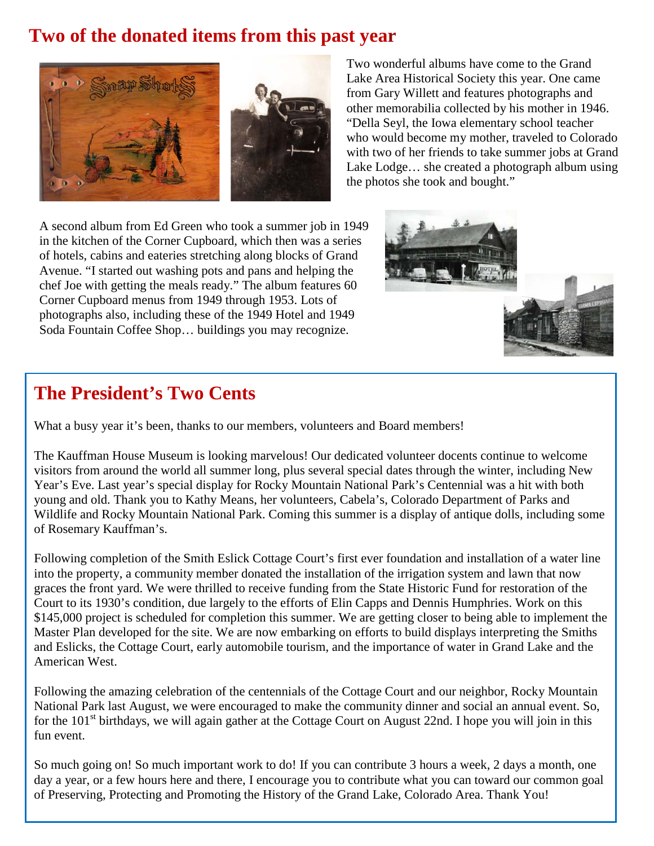# **Two of the donated items from this past year**



Two wonderful albums have come to the Grand Lake Area Historical Society this year. One came from Gary Willett and features photographs and other memorabilia collected by his mother in 1946. "Della Seyl, the Iowa elementary school teacher who would become my mother, traveled to Colorado with two of her friends to take summer jobs at Grand Lake Lodge… she created a photograph album using the photos she took and bought."

A second album from Ed Green who took a summer job in 1949 in the kitchen of the Corner Cupboard, which then was a series of hotels, cabins and eateries stretching along blocks of Grand Avenue. "I started out washing pots and pans and helping the chef Joe with getting the meals ready." The album features 60 Corner Cupboard menus from 1949 through 1953. Lots of photographs also, including these of the 1949 Hotel and 1949 Soda Fountain Coffee Shop… buildings you may recognize.



# **The President's Two Cents**

What a busy year it's been, thanks to our members, volunteers and Board members!

The Kauffman House Museum is looking marvelous! Our dedicated volunteer docents continue to welcome visitors from around the world all summer long, plus several special dates through the winter, including New Year's Eve. Last year's special display for Rocky Mountain National Park's Centennial was a hit with both young and old. Thank you to Kathy Means, her volunteers, Cabela's, Colorado Department of Parks and Wildlife and Rocky Mountain National Park. Coming this summer is a display of antique dolls, including some of Rosemary Kauffman's.

Following completion of the Smith Eslick Cottage Court's first ever foundation and installation of a water line into the property, a community member donated the installation of the irrigation system and lawn that now graces the front yard. We were thrilled to receive funding from the State Historic Fund for restoration of the Court to its 1930's condition, due largely to the efforts of Elin Capps and Dennis Humphries. Work on this \$145,000 project is scheduled for completion this summer. We are getting closer to being able to implement the Master Plan developed for the site. We are now embarking on efforts to build displays interpreting the Smiths and Eslicks, the Cottage Court, early automobile tourism, and the importance of water in Grand Lake and the American West.

Following the amazing celebration of the centennials of the Cottage Court and our neighbor, Rocky Mountain National Park last August, we were encouraged to make the community dinner and social an annual event. So, for the  $101<sup>st</sup>$  birthdays, we will again gather at the Cottage Court on August 22nd. I hope you will join in this fun event.

So much going on! So much important work to do! If you can contribute 3 hours a week, 2 days a month, one day a year, or a few hours here and there, I encourage you to contribute what you can toward our common goal of Preserving, Protecting and Promoting the History of the Grand Lake, Colorado Area. Thank You!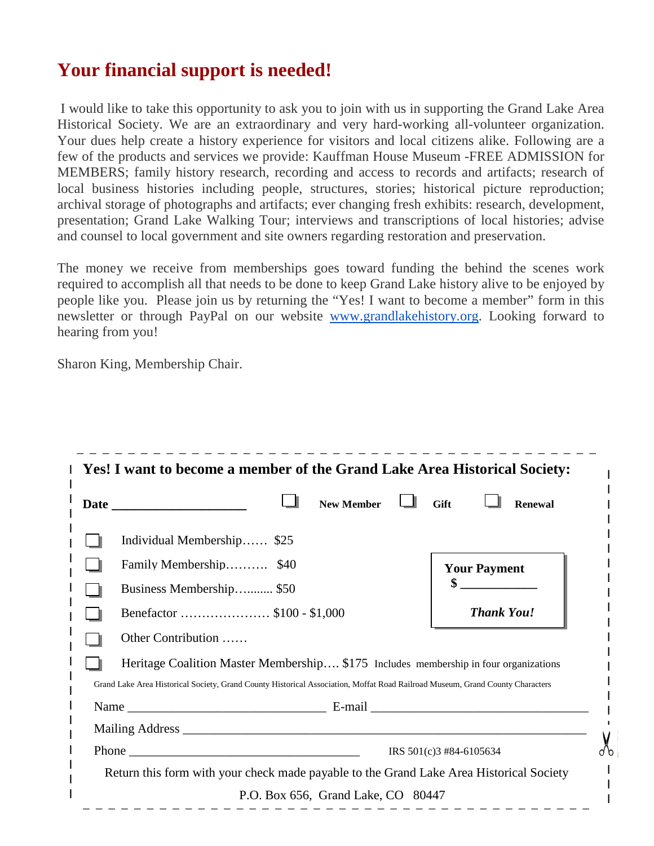# **Your financial support is needed!**

I would like to take this opportunity to ask you to join with us in supporting the Grand Lake Area Historical Society. We are an extraordinary and very hard-working all-volunteer organization. Your dues help create a history experience for visitors and local citizens alike. Following are a few of the products and services we provide: Kauffman House Museum -FREE ADMISSION for MEMBERS; family history research, recording and access to records and artifacts; research of local business histories including people, structures, stories; historical picture reproduction; archival storage of photographs and artifacts; ever changing fresh exhibits: research, development, presentation; Grand Lake Walking Tour; interviews and transcriptions of local histories; advise and counsel to local government and site owners regarding restoration and preservation.

The money we receive from memberships goes toward funding the behind the scenes work required to accomplish all that needs to be done to keep Grand Lake history alive to be enjoyed by people like you. Please join us by returning the "Yes! I want to become a member" form in this newsletter or through PayPal on our website [www.grandlakehistory.org.](http://www.grandlakehistory.org/) Looking forward to hearing from you!

Sharon King, Membership Chair.

| Yes! I want to become a member of the Grand Lake Area Historical Society:<br><b>Date</b>                                      | <b>New Member</b>                  |  | Gift<br><b>Renewal</b>                                                               |
|-------------------------------------------------------------------------------------------------------------------------------|------------------------------------|--|--------------------------------------------------------------------------------------|
| Individual Membership \$25                                                                                                    |                                    |  |                                                                                      |
|                                                                                                                               | Family Membership \$40             |  | <b>Your Payment</b>                                                                  |
| Business Membership \$50                                                                                                      |                                    |  | \$                                                                                   |
|                                                                                                                               |                                    |  | <b>Thank You!</b>                                                                    |
| Other Contribution                                                                                                            |                                    |  |                                                                                      |
|                                                                                                                               |                                    |  | Heritage Coalition Master Membership \$175 Includes membership in four organizations |
| Grand Lake Area Historical Society, Grand County Historical Association, Moffat Road Railroad Museum, Grand County Characters |                                    |  |                                                                                      |
|                                                                                                                               |                                    |  |                                                                                      |
|                                                                                                                               |                                    |  |                                                                                      |
|                                                                                                                               |                                    |  | IRS 501(c)3 #84-6105634                                                              |
| Return this form with your check made payable to the Grand Lake Area Historical Society                                       |                                    |  |                                                                                      |
|                                                                                                                               | P.O. Box 656, Grand Lake, CO 80447 |  |                                                                                      |